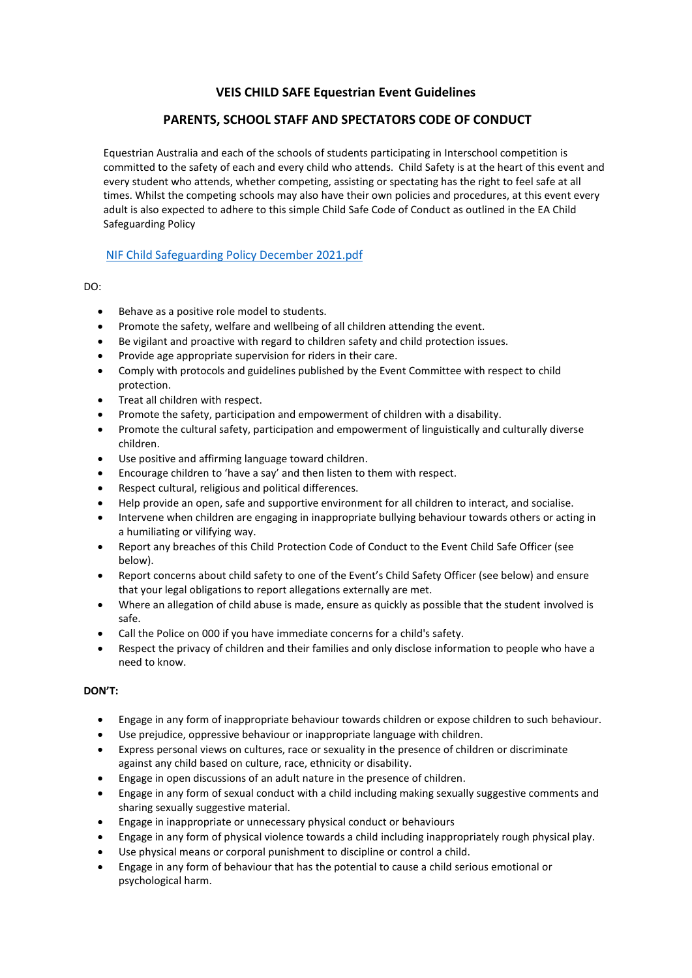# **VEIS CHILD SAFE Equestrian Event Guidelines**

# **PARENTS, SCHOOL STAFF AND SPECTATORS CODE OF CONDUCT**

Equestrian Australia and each of the schools of students participating in Interschool competition is committed to the safety of each and every child who attends. Child Safety is at the heart of this event and every student who attends, whether competing, assisting or spectating has the right to feel safe at all times. Whilst the competing schools may also have their own policies and procedures, at this event every adult is also expected to adhere to this simple Child Safe Code of Conduct as outlined in the EA Child Safeguarding Policy

## [NIF Child Safeguarding Policy December 2021.pdf](file:///C:/Users/61408/Desktop/Completed%20Doc%20ISV/NIF%20Child%20Safeguarding%20Policy%20December%202021.pdf)

## DO:

- Behave as a positive role model to students.
- Promote the safety, welfare and wellbeing of all children attending the event.
- Be vigilant and proactive with regard to children safety and child protection issues.
- Provide age appropriate supervision for riders in their care.
- Comply with protocols and guidelines published by the Event Committee with respect to child protection.
- Treat all children with respect.
- Promote the safety, participation and empowerment of children with a disability.
- Promote the cultural safety, participation and empowerment of linguistically and culturally diverse children.
- Use positive and affirming language toward children.
- Encourage children to 'have a say' and then listen to them with respect.
- Respect cultural, religious and political differences.
- Help provide an open, safe and supportive environment for all children to interact, and socialise.
- Intervene when children are engaging in inappropriate bullying behaviour towards others or acting in a humiliating or vilifying way.
- Report any breaches of this Child Protection Code of Conduct to the Event Child Safe Officer (see below).
- Report concerns about child safety to one of the Event's Child Safety Officer (see below) and ensure that your legal obligations to report allegations externally are met.
- Where an allegation of child abuse is made, ensure as quickly as possible that the student involved is safe.
- Call the Police on 000 if you have immediate concerns for a child's safety.
- Respect the privacy of children and their families and only disclose information to people who have a need to know.

## **DON'T:**

- Engage in any form of inappropriate behaviour towards children or expose children to such behaviour.
- Use prejudice, oppressive behaviour or inappropriate language with children.
- Express personal views on cultures, race or sexuality in the presence of children or discriminate against any child based on culture, race, ethnicity or disability.
- Engage in open discussions of an adult nature in the presence of children.
- Engage in any form of sexual conduct with a child including making sexually suggestive comments and sharing sexually suggestive material.
- Engage in inappropriate or unnecessary physical conduct or behaviours
- Engage in any form of physical violence towards a child including inappropriately rough physical play.
- Use physical means or corporal punishment to discipline or control a child.
- Engage in any form of behaviour that has the potential to cause a child serious emotional or psychological harm.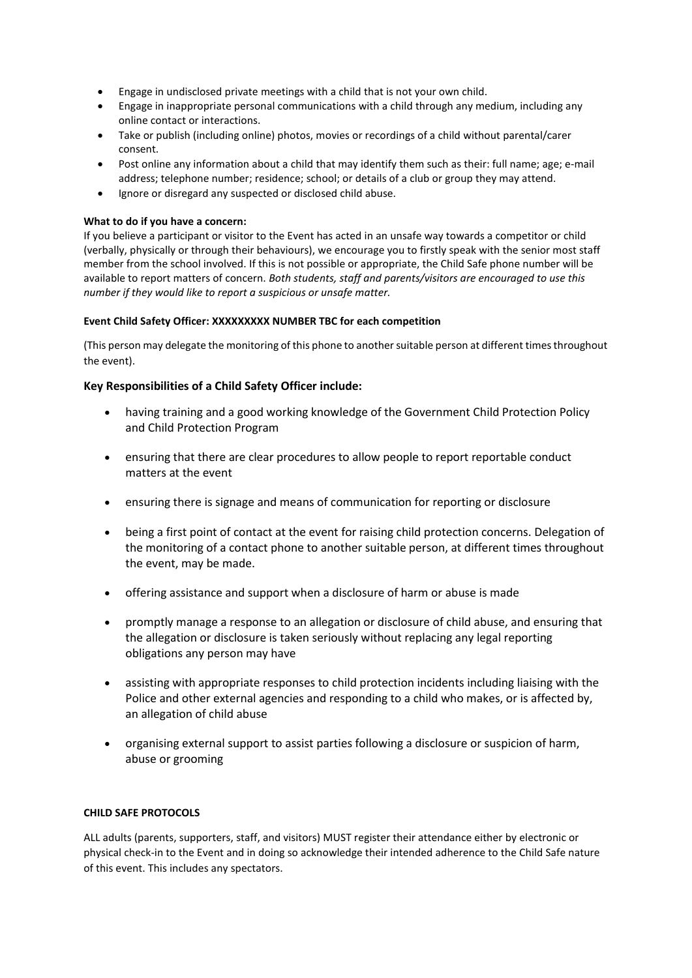- Engage in undisclosed private meetings with a child that is not your own child.
- Engage in inappropriate personal communications with a child through any medium, including any online contact or interactions.
- Take or publish (including online) photos, movies or recordings of a child without parental/carer consent.
- Post online any information about a child that may identify them such as their: full name; age; e-mail address; telephone number; residence; school; or details of a club or group they may attend.
- Ignore or disregard any suspected or disclosed child abuse.

### **What to do if you have a concern:**

If you believe a participant or visitor to the Event has acted in an unsafe way towards a competitor or child (verbally, physically or through their behaviours), we encourage you to firstly speak with the senior most staff member from the school involved. If this is not possible or appropriate, the Child Safe phone number will be available to report matters of concern. *Both students, staff and parents/visitors are encouraged to use this number if they would like to report a suspicious or unsafe matter.*

### **Event Child Safety Officer: XXXXXXXXX NUMBER TBC for each competition**

(This person may delegate the monitoring of this phone to another suitable person at different times throughout the event).

## **Key Responsibilities of a Child Safety Officer include:**

- having training and a good working knowledge of the Government Child Protection Policy and Child Protection Program
- ensuring that there are clear procedures to allow people to report reportable conduct matters at the event
- ensuring there is signage and means of communication for reporting or disclosure
- being a first point of contact at the event for raising child protection concerns. Delegation of the monitoring of a contact phone to another suitable person, at different times throughout the event, may be made.
- offering assistance and support when a disclosure of harm or abuse is made
- promptly manage a response to an allegation or disclosure of child abuse, and ensuring that the allegation or disclosure is taken seriously without replacing any legal reporting obligations any person may have
- assisting with appropriate responses to child protection incidents including liaising with the Police and other external agencies and responding to a child who makes, or is affected by, an allegation of child abuse
- organising external support to assist parties following a disclosure or suspicion of harm, abuse or grooming

### **CHILD SAFE PROTOCOLS**

ALL adults (parents, supporters, staff, and visitors) MUST register their attendance either by electronic or physical check-in to the Event and in doing so acknowledge their intended adherence to the Child Safe nature of this event. This includes any spectators.